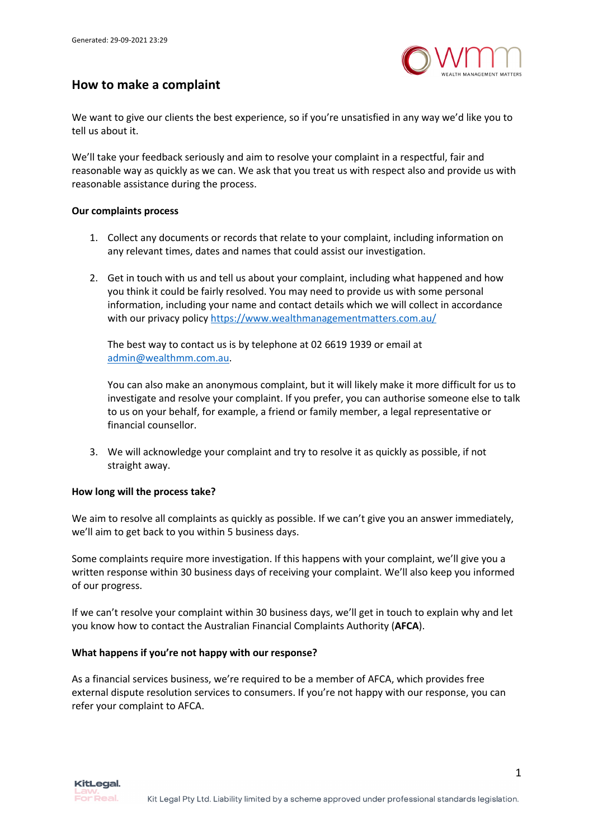

## **How to make a complaint**

We want to give our clients the best experience, so if you're unsatisfied in any way we'd like you to tell us about it.

We'll take your feedback seriously and aim to resolve your complaint in a respectful, fair and reasonable way as quickly as we can. We ask that you treat us with respect also and provide us with reasonable assistance during the process.

## **Our complaints process**

- 1. Collect any documents or records that relate to your complaint, including information on any relevant times, dates and names that could assist our investigation.
- 2. Get in touch with us and tell us about your complaint, including what happened and how you think it could be fairly resolved. You may need to provide us with some personal information, including your name and contact details which we will collect in accordance with our privacy policy https://www.wealthmanagementmatters.com.au/

The best way to contact us is by telephone at 02 6619 1939 or email at admin@wealthmm.com.au.

You can also make an anonymous complaint, but it will likely make it more difficult for us to investigate and resolve your complaint. If you prefer, you can authorise someone else to talk to us on your behalf, for example, a friend or family member, a legal representative or financial counsellor.

3. We will acknowledge your complaint and try to resolve it as quickly as possible, if not straight away.

## **How long will the process take?**

We aim to resolve all complaints as quickly as possible. If we can't give you an answer immediately, we'll aim to get back to you within 5 business days.

Some complaints require more investigation. If this happens with your complaint, we'll give you a written response within 30 business days of receiving your complaint. We'll also keep you informed of our progress.

If we can't resolve your complaint within 30 business days, we'll get in touch to explain why and let you know how to contact the Australian Financial Complaints Authority (**AFCA**).

## **What happens if you're not happy with our response?**

As a financial services business, we're required to be a member of AFCA, which provides free external dispute resolution services to consumers. If you're not happy with our response, you can refer your complaint to AFCA.